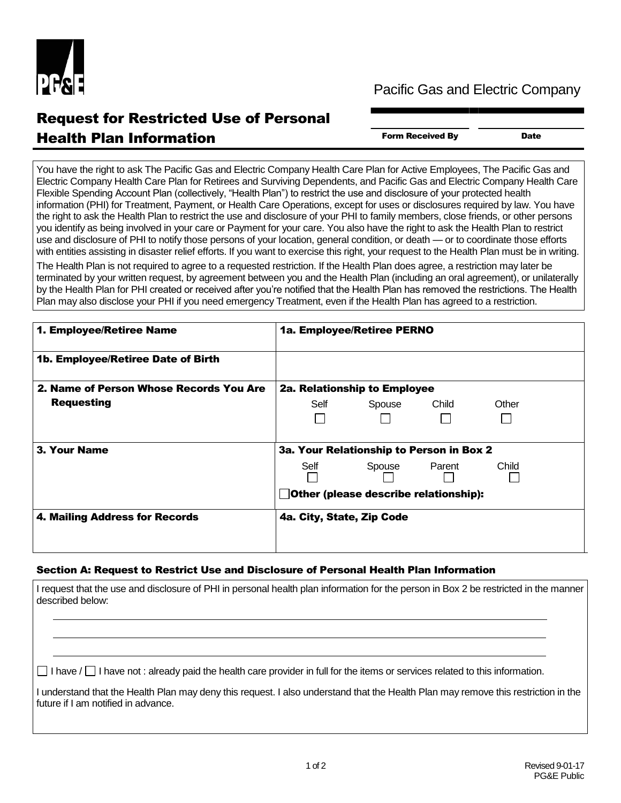

## Pacific Gas and Electric Company

## Request for Restricted Use of Personal **Health Plan Information** Form Received By Date

You have the right to ask The Pacific Gas and Electric Company Health Care Plan for Active Employees, The Pacific Gas and Electric Company Health Care Plan for Retirees and Surviving Dependents, and Pacific Gas and Electric Company Health Care Flexible Spending Account Plan (collectively, "Health Plan") to restrict the use and disclosure of your protected health information (PHI) for Treatment, Payment, or Health Care Operations, except for uses or disclosures required by law. You have the right to ask the Health Plan to restrict the use and disclosure of your PHI to family members, close friends, or other persons you identify as being involved in your care or Payment for your care. You also have the right to ask the Health Plan to restrict use and disclosure of PHI to notify those persons of your location, general condition, or death — or to coordinate those efforts with entities assisting in disaster relief efforts. If you want to exercise this right, your request to the Health Plan must be in writing.

The Health Plan is not required to agree to a requested restriction. If the Health Plan does agree, a restriction may later be terminated by your written request, by agreement between you and the Health Plan (including an oral agreement), or unilaterally by the Health Plan for PHI created or received after you're notified that the Health Plan has removed the restrictions. The Health Plan may also disclose your PHI if you need emergency Treatment, even if the Health Plan has agreed to a restriction.

| 1. Employee/Retiree Name                | 1a. Employee/Retiree PERNO               |
|-----------------------------------------|------------------------------------------|
| 1b. Employee/Retiree Date of Birth      |                                          |
| 2. Name of Person Whose Records You Are | 2a. Relationship to Employee             |
| <b>Requesting</b>                       | Self<br>Spouse<br>Child<br>Other         |
| 3. Your Name                            | 3a. Your Relationship to Person in Box 2 |
|                                         | Parent<br>Child<br>Self<br>Spouse        |
|                                         | Other (please describe relationship):    |
| 4. Mailing Address for Records          | 4a. City, State, Zip Code                |
|                                         |                                          |

## Section A: Request to Restrict Use and Disclosure of Personal Health Plan Information

I request that the use and disclosure of PHI in personal health plan information for the person in Box 2 be restricted in the manner described below:

 $\Box$  I have  $\Box$  I have not : already paid the health care provider in full for the items or services related to this information.

I understand that the Health Plan may deny this request. I also understand that the Health Plan may remove this restriction in the future if I am notified in advance.